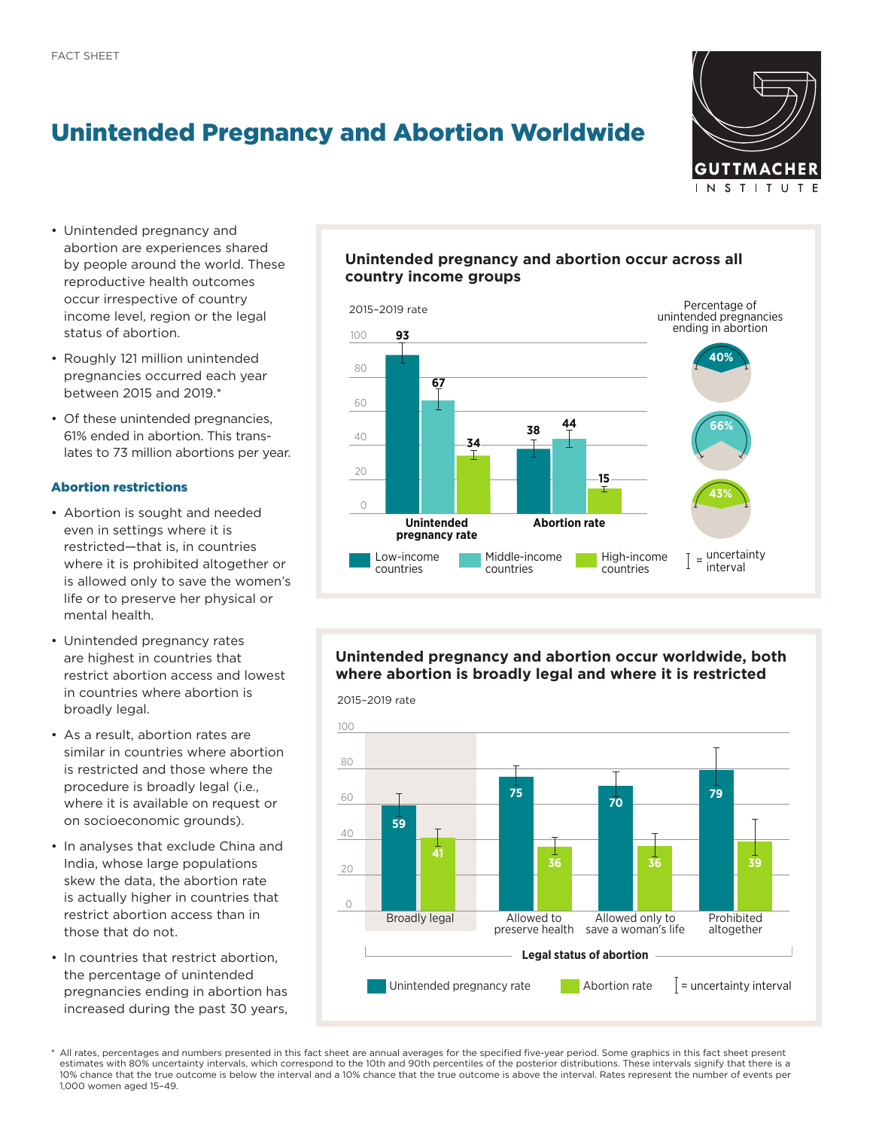# Unintended Pregnancy and Abortion Worldwide



- Unintended pregnancy and abortion are experiences shared by people around the world. These reproductive health outcomes occur irrespective of country income level, region or the legal status of abortion.
- Roughly 121 million unintended pregnancies occurred each year between 2015 and 2019.\*
- Of these unintended pregnancies, 61% ended in abortion. This translates to 73 million abortions per year.

## Abortion restrictions

- Abortion is sought and needed even in settings where it is restricted—that is, in countries where it is prohibited altogether or is allowed only to save the women's life or to preserve her physical or mental health.
- Unintended pregnancy rates are highest in countries that restrict abortion access and lowest in countries where abortion is broadly legal.
- As a result, abortion rates are similar in countries where abortion is restricted and those where the procedure is broadly legal (i.e., where it is available on request or on socioeconomic grounds).
- In analyses that exclude China and India, whose large populations skew the data, the abortion rate is actually higher in countries that restrict abortion access than in those that do not.
- In countries that restrict abortion, the percentage of unintended pregnancies ending in abortion has increased during the past 30 years,

## **Unintended pregnancy and abortion occur across all country income groups**



# **Unintended pregnancy and abortion occur worldwide, both where abortion is broadly legal and where it is restricted**

2015–2019 rate



All rates, percentages and numbers presented in this fact sheet are annual averages for the specified five-year period. Some graphics in this fact sheet present estimates with 80% uncertainty intervals, which correspond to the 10th and 90th percentiles of the posterior distributions. These intervals signify that there is a 10% chance that the true outcome is below the interval and a 10% chance that the true outcome is above the interval. Rates represent the number of events per 1,000 women aged 15–49.